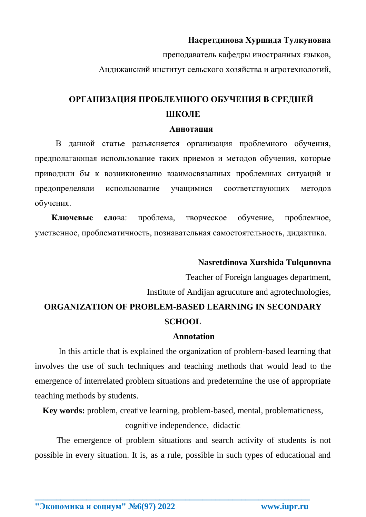## Насретдинова Хуршида Тулкуновна

преподаватель кафедры иностранных языков,

Андижанский институт сельского хозяйства и агротехнологий,

# ОРГАНИЗАЦИЯ ПРОБЛЕМНОГО ОБУЧЕНИЯ В СРЕДНЕЙ **ШКОЛЕ**

#### **Аннотация**

В данной статье разъясняется организация проблемного обучения, предполагающая использование таких приемов и методов обучения, которые приводили бы к возникновению взаимосвязанных проблемных ситуаций и предопределяли использование учащимися соответствующих методов обучения.

обучение, Ключевые слова: проблема, творческое проблемное, умственное, проблематичность, познавательная самостоятельность, дидактика.

### Nasretdinova Xurshida Tulqunovna

Teacher of Foreign languages department,

Institute of Andijan agrueuture and agrotechnologies,

# ORGANIZATION OF PROBLEM-BASED LEARNING IN SECONDARY **SCHOOL**

#### Annotation

In this article that is explained the organization of problem-based learning that involves the use of such techniques and teaching methods that would lead to the emergence of interrelated problem situations and predetermine the use of appropriate teaching methods by students.

**Key words:** problem, creative learning, problem-based, mental, problematicness, cognitive independence, didactic

The emergence of problem situations and search activity of students is not possible in every situation. It is, as a rule, possible in such types of educational and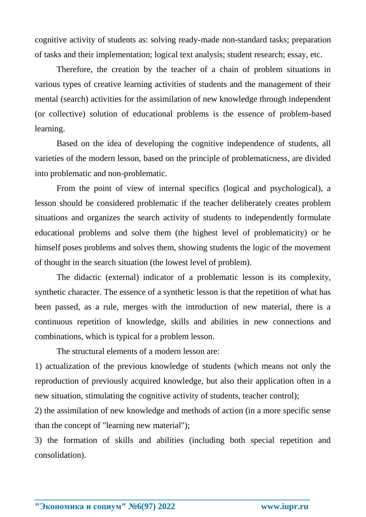cognitive activity of students as: solving ready-made non-standard tasks; preparation of tasks and their implementation; logical text analysis; student research; essay, etc.

Therefore, the creation by the teacher of a chain of problem situations in various types of creative learning activities of students and the management of their mental (search) activities for the assimilation of new knowledge through independent (or collective) solution of educational problems is the essence of problem-based learning.

Based on the idea of developing the cognitive independence of students, all varieties of the modern lesson, based on the principle of problematicness, are divided into problematic and non-problematic.

From the point of view of internal specifics (logical and psychological), a lesson should be considered problematic if the teacher deliberately creates problem situations and organizes the search activity of students to independently formulate educational problems and solve them (the highest level of problematicity) or he himself poses problems and solves them, showing students the logic of the movement of thought in the search situation (the lowest level of problem).

The didactic (external) indicator of a problematic lesson is its complexity, synthetic character. The essence of a synthetic lesson is that the repetition of what has been passed, as a rule, merges with the introduction of new material, there is a continuous repetition of knowledge, skills and abilities in new connections and combinations, which is typical for a problem lesson.

The structural elements of a modern lesson are:

1) actualization of the previous knowledge of students (which means not only the reproduction of previously acquired knowledge, but also their application often in a new situation, stimulating the cognitive activity of students, teacher control);

2) the assimilation of new knowledge and methods of action (in a more specific sense than the concept of "learning new material");

3) the formation of skills and abilities (including both special repetition and consolidation).

**\_\_\_\_\_\_\_\_\_\_\_\_\_\_\_\_\_\_\_\_\_\_\_\_\_\_\_\_\_\_\_\_\_\_\_\_\_\_\_\_\_\_\_\_\_\_\_\_\_\_\_\_\_\_\_\_\_\_\_\_\_\_\_\_**